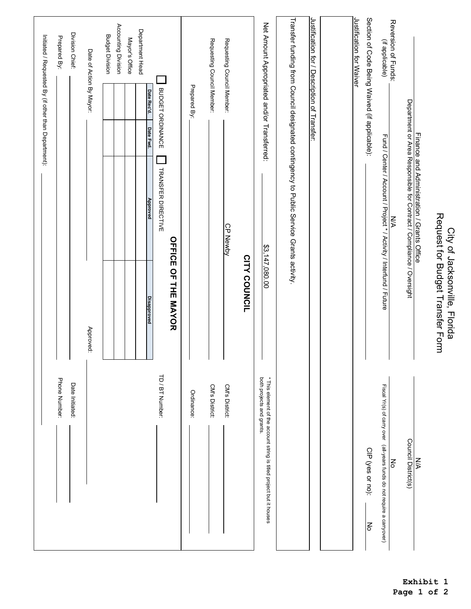|                                                                                                   |                                                                   |                                                                                                                    | Initiated / Requested By (if other than Department): |                          |                                               |
|---------------------------------------------------------------------------------------------------|-------------------------------------------------------------------|--------------------------------------------------------------------------------------------------------------------|------------------------------------------------------|--------------------------|-----------------------------------------------|
| Phone Number:                                                                                     |                                                                   |                                                                                                                    |                                                      |                          | Prepared By:                                  |
| Date Initiated:                                                                                   |                                                                   |                                                                                                                    |                                                      |                          | Division Chief:                               |
|                                                                                                   | Approved:                                                         |                                                                                                                    |                                                      | Date of Action By Mayor: |                                               |
|                                                                                                   |                                                                   |                                                                                                                    |                                                      |                          | <b>Budget Division</b>                        |
|                                                                                                   |                                                                   |                                                                                                                    |                                                      |                          | Accounting Division                           |
|                                                                                                   |                                                                   |                                                                                                                    |                                                      |                          | Mayor's Office                                |
|                                                                                                   | <b>Disapproved</b>                                                | Approved                                                                                                           | Date Fwd.                                            | Date Rec'd.              | Department Head                               |
| TD / BT Number:                                                                                   |                                                                   | <b>TRANSFER DIRECTIVE</b>                                                                                          |                                                      | BUDGET ORDINANCE         |                                               |
|                                                                                                   | <b>OFFICE OF THE MAYOR</b>                                        |                                                                                                                    |                                                      |                          |                                               |
| Ordinance:                                                                                        |                                                                   |                                                                                                                    |                                                      | Prepared By:             |                                               |
| CM's District:                                                                                    |                                                                   |                                                                                                                    |                                                      |                          | Requesting Council Member:                    |
| CM's District:                                                                                    |                                                                   | CP Newby                                                                                                           |                                                      |                          | Requesting Council Member:                    |
|                                                                                                   | <b>CITY COUNCIL</b>                                               |                                                                                                                    |                                                      |                          |                                               |
| both projects and grants.<br>* This element of the account string is titled project but it houses | \$3,147,080.00                                                    |                                                                                                                    |                                                      |                          | Net Amount Appropriated and/or Transferred:   |
|                                                                                                   |                                                                   | Transfer funding from Council designated contingency to Public Service Grants activity.                            |                                                      |                          |                                               |
|                                                                                                   |                                                                   |                                                                                                                    |                                                      |                          | Justification for / Description of Transfer:  |
|                                                                                                   |                                                                   |                                                                                                                    |                                                      |                          |                                               |
|                                                                                                   |                                                                   |                                                                                                                    |                                                      |                          | Justification for Waiver                      |
| CIP (yes or no):<br>No                                                                            |                                                                   |                                                                                                                    |                                                      |                          | Section of Code Being Waived (if applicable): |
| Fiscal Yr(s) of carry over (all-years funds do not require a carryover)<br>Νo                     |                                                                   | Fund / Center / Account / Project * / Activity / Interfund / Future<br><b>N/A</b>                                  |                                                      |                          | Reversion of Funds:<br>(if applicable)        |
|                                                                                                   |                                                                   |                                                                                                                    |                                                      |                          |                                               |
| Council District(s)<br><b>NA</b>                                                                  |                                                                   | Finance and Administration / Grants Office<br>Department or Area Responsible for Contract / Compliance / Oversight |                                                      |                          |                                               |
|                                                                                                   |                                                                   |                                                                                                                    |                                                      |                          |                                               |
|                                                                                                   | Request for Budget Transfer Form<br>City of Jacksonville, Florida |                                                                                                                    |                                                      |                          |                                               |